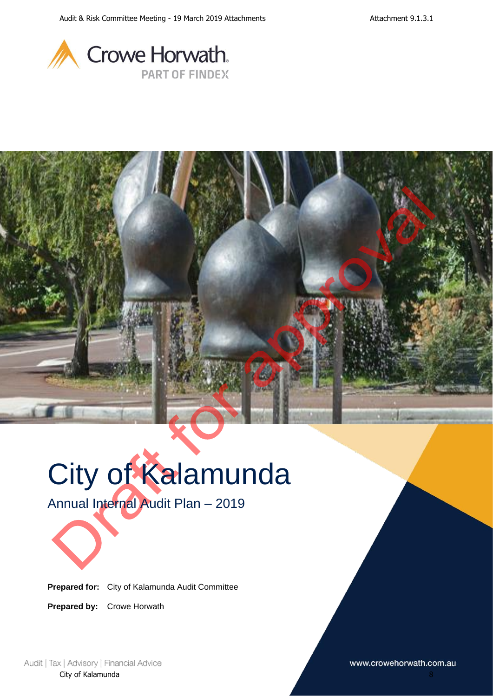



# City of Kalamunda

Annual Internal Audit Plan – 2019

Prepared for: **Prepared for:** City of Kalamunda Audit Committee

Prepared by: **Prepared by:** Crowe Horwath

Audit | Tax | Advisory | Financial Advice City of Kalamunda

www.crowehorwath.com.au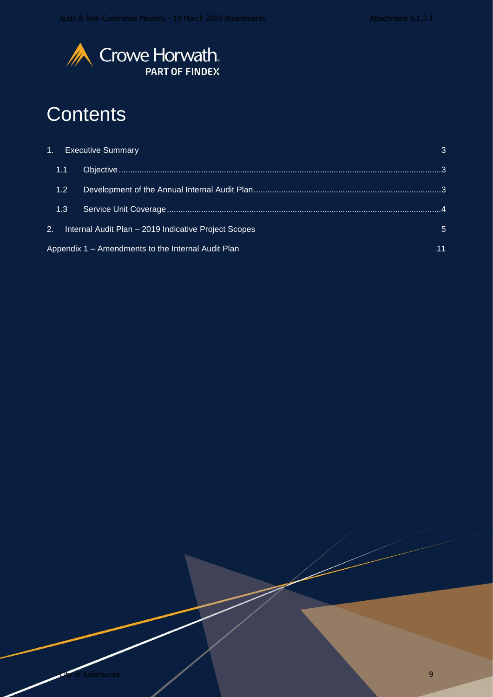

### **Contents**

|                  | <b>Executive Summary</b><br>the contract of the contract of the contract of the contract of the contract of the contract of |   |
|------------------|-----------------------------------------------------------------------------------------------------------------------------|---|
| 1.1              |                                                                                                                             |   |
| 1.2 <sub>1</sub> |                                                                                                                             |   |
| 1.3              |                                                                                                                             |   |
| 2.               | Internal Audit Plan - 2019 Indicative Project Scopes                                                                        | 5 |
|                  | Appendix 1 – Amendments to the Internal Audit Plan                                                                          |   |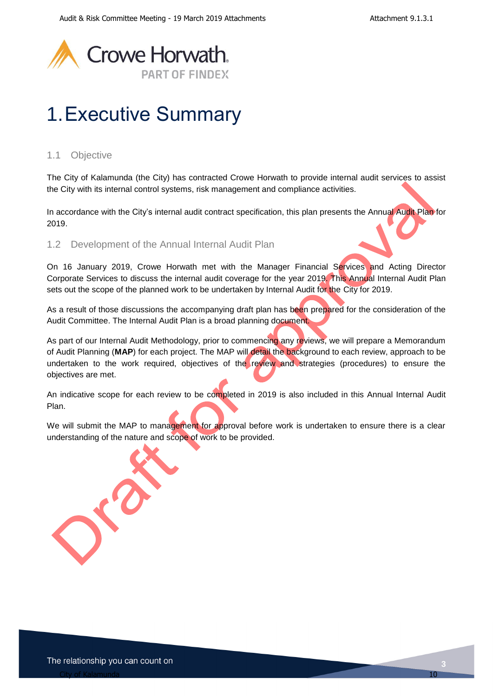

## <span id="page-2-0"></span>1.Executive Summary

### <span id="page-2-1"></span>1.1 Objective

The City of Kalamunda (the City) has contracted Crowe Horwath to provide internal audit services to assist the City with its internal control systems, risk management and compliance activities.

In accordance with the City's internal audit contract specification, this plan presents the Annual Audit Plan for 2019.

### <span id="page-2-2"></span>1.2 Development of the Annual Internal Audit Plan

On 16 January 2019, Crowe Horwath met with the Manager Financial Services and Acting Director Corporate Services to discuss the internal audit coverage for the year 2019. This Annual Internal Audit Plan sets out the scope of the planned work to be undertaken by Internal Audit for the City for 2019.

As a result of those discussions the accompanying draft plan has been prepared for the consideration of the Audit Committee. The Internal Audit Plan is a broad planning document.

As part of our Internal Audit Methodology, prior to commencing any reviews, we will prepare a Memorandum of Audit Planning (**MAP**) for each project. The MAP will detail the background to each review, approach to be undertaken to the work required, objectives of the review and strategies (procedures) to ensure the objectives are met.

An indicative scope for each review to be completed in 2019 is also included in this Annual Internal Audit Plan.

We will submit the MAP to management for approval before work is undertaken to ensure there is a clear understanding of the nature and scope of work to be provided.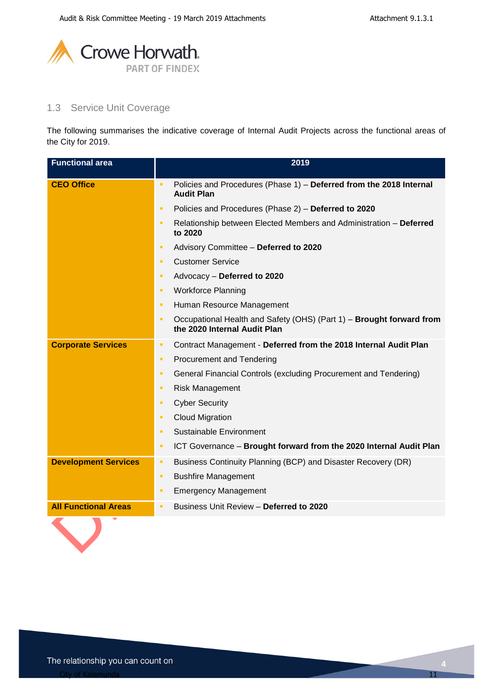

### <span id="page-3-0"></span>1.3 Service Unit Coverage

The following summarises the indicative coverage of Internal Audit Projects across the functional areas of the City for 2019.

| <b>Functional area</b>      | 2019                                                                                                      |  |
|-----------------------------|-----------------------------------------------------------------------------------------------------------|--|
| <b>CEO Office</b>           | Policies and Procedures (Phase 1) - Deferred from the 2018 Internal<br>٠<br><b>Audit Plan</b>             |  |
|                             | Policies and Procedures (Phase 2) - Deferred to 2020<br>٠                                                 |  |
|                             | $\blacksquare$<br>Relationship between Elected Members and Administration - Deferred<br>to 2020           |  |
|                             | Advisory Committee - Deferred to 2020<br>٠                                                                |  |
|                             | <b>Customer Service</b><br>п                                                                              |  |
|                             | Advocacy - Deferred to 2020<br>п                                                                          |  |
|                             | <b>Workforce Planning</b><br>п                                                                            |  |
|                             | Human Resource Management<br>п                                                                            |  |
|                             | Occupational Health and Safety (OHS) (Part 1) - Brought forward from<br>п<br>the 2020 Internal Audit Plan |  |
| <b>Corporate Services</b>   | Contract Management - Deferred from the 2018 Internal Audit Plan<br>п                                     |  |
|                             | <b>Procurement and Tendering</b><br>٠                                                                     |  |
|                             | General Financial Controls (excluding Procurement and Tendering)<br>٠                                     |  |
|                             | <b>Risk Management</b><br>п                                                                               |  |
|                             | <b>Cyber Security</b><br>п                                                                                |  |
|                             | <b>Cloud Migration</b><br>٠                                                                               |  |
|                             | Sustainable Environment<br>٠                                                                              |  |
|                             | ICT Governance - Brought forward from the 2020 Internal Audit Plan<br>٠                                   |  |
| <b>Development Services</b> | Business Continuity Planning (BCP) and Disaster Recovery (DR)<br>٠                                        |  |
|                             | <b>Bushfire Management</b><br>٠                                                                           |  |
|                             | <b>Emergency Management</b><br>٠                                                                          |  |
| <b>All Functional Areas</b> | Business Unit Review - Deferred to 2020<br>٠                                                              |  |
|                             |                                                                                                           |  |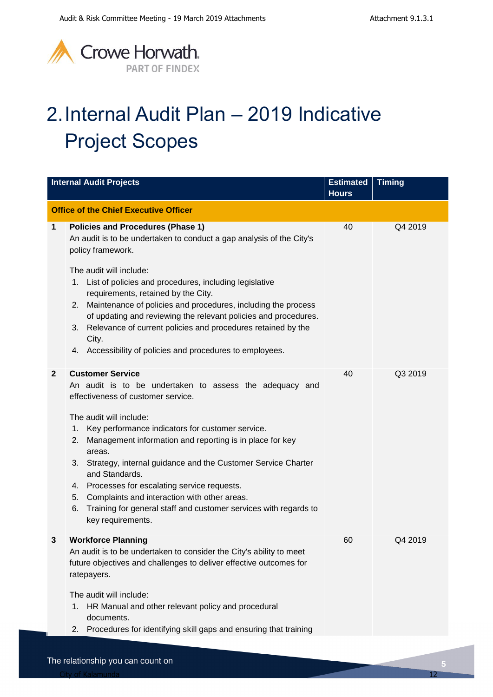

# <span id="page-4-0"></span>2.Internal Audit Plan – 2019 Indicative Project Scopes

|              | <b>Internal Audit Projects</b>                                                                                                                                                                                                                                                                                                                                                                                                                                                                                                                                                          | <b>Estimated</b><br><b>Hours</b> | <b>Timing</b> |
|--------------|-----------------------------------------------------------------------------------------------------------------------------------------------------------------------------------------------------------------------------------------------------------------------------------------------------------------------------------------------------------------------------------------------------------------------------------------------------------------------------------------------------------------------------------------------------------------------------------------|----------------------------------|---------------|
|              | <b>Office of the Chief Executive Officer</b>                                                                                                                                                                                                                                                                                                                                                                                                                                                                                                                                            |                                  |               |
| $\mathbf 1$  | <b>Policies and Procedures (Phase 1)</b><br>An audit is to be undertaken to conduct a gap analysis of the City's<br>policy framework.<br>The audit will include:<br>List of policies and procedures, including legislative<br>1.<br>requirements, retained by the City.<br>2. Maintenance of policies and procedures, including the process<br>of updating and reviewing the relevant policies and procedures.<br>Relevance of current policies and procedures retained by the<br>3.<br>City.<br>4. Accessibility of policies and procedures to employees.                              | 40                               | Q4 2019       |
| $\mathbf{2}$ | <b>Customer Service</b><br>An audit is to be undertaken to assess the adequacy and<br>effectiveness of customer service.<br>The audit will include:<br>Key performance indicators for customer service.<br>1.<br>Management information and reporting is in place for key<br>2.<br>areas.<br>3. Strategy, internal guidance and the Customer Service Charter<br>and Standards.<br>Processes for escalating service requests.<br>4.<br>Complaints and interaction with other areas.<br>5.<br>Training for general staff and customer services with regards to<br>6.<br>key requirements. | 40                               | Q3 2019       |
| 3            | <b>Workforce Planning</b><br>An audit is to be undertaken to consider the City's ability to meet<br>future objectives and challenges to deliver effective outcomes for<br>ratepayers.<br>The audit will include:<br>HR Manual and other relevant policy and procedural<br>1.<br>documents.<br>Procedures for identifying skill gaps and ensuring that training<br>2.                                                                                                                                                                                                                    | 60                               | Q4 2019       |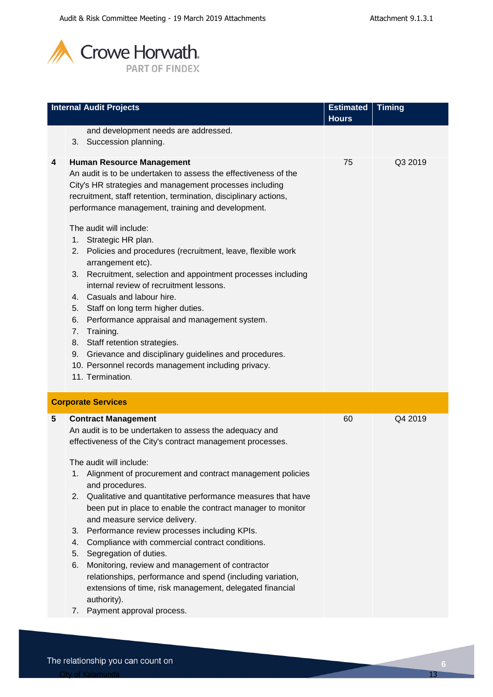

|   | <b>Internal Audit Projects</b>                                                                                                                                                                                                                                                                                                                                                                                                                                                                                                                                                                                                                                                                                                                                                                                                                                                           | <b>Estimated</b> | <b>Timing</b> |
|---|------------------------------------------------------------------------------------------------------------------------------------------------------------------------------------------------------------------------------------------------------------------------------------------------------------------------------------------------------------------------------------------------------------------------------------------------------------------------------------------------------------------------------------------------------------------------------------------------------------------------------------------------------------------------------------------------------------------------------------------------------------------------------------------------------------------------------------------------------------------------------------------|------------------|---------------|
|   |                                                                                                                                                                                                                                                                                                                                                                                                                                                                                                                                                                                                                                                                                                                                                                                                                                                                                          | <b>Hours</b>     |               |
|   | and development needs are addressed.<br>3. Succession planning.                                                                                                                                                                                                                                                                                                                                                                                                                                                                                                                                                                                                                                                                                                                                                                                                                          |                  |               |
| 4 | <b>Human Resource Management</b><br>An audit is to be undertaken to assess the effectiveness of the<br>City's HR strategies and management processes including<br>recruitment, staff retention, termination, disciplinary actions,<br>performance management, training and development.<br>The audit will include:<br>1.<br>Strategic HR plan.<br>Policies and procedures (recruitment, leave, flexible work<br>2.<br>arrangement etc).<br>Recruitment, selection and appointment processes including<br>3.<br>internal review of recruitment lessons.<br>4. Casuals and labour hire.<br>Staff on long term higher duties.<br>5.<br>Performance appraisal and management system.<br>6.<br>Training.<br>7.<br>Staff retention strategies.<br>8.<br>Grievance and disciplinary guidelines and procedures.<br>9.<br>10. Personnel records management including privacy.<br>11. Termination. | 75               | Q3 2019       |
|   | <b>Corporate Services</b>                                                                                                                                                                                                                                                                                                                                                                                                                                                                                                                                                                                                                                                                                                                                                                                                                                                                |                  |               |
| 5 | <b>Contract Management</b><br>An audit is to be undertaken to assess the adequacy and<br>effectiveness of the City's contract management processes.<br>The audit will include:<br>Alignment of procurement and contract management policies<br>1.<br>and procedures.<br>Qualitative and quantitative performance measures that have<br>2.<br>been put in place to enable the contract manager to monitor<br>and measure service delivery.<br>Performance review processes including KPIs.<br>3.<br>Compliance with commercial contract conditions.<br>4.<br>Segregation of duties.<br>5.<br>Monitoring, review and management of contractor<br>6.<br>relationships, performance and spend (including variation,<br>extensions of time, risk management, delegated financial<br>authority).<br>Downant approval process                                                                   | 60               | Q4 2019       |

**7.** Payment approval process.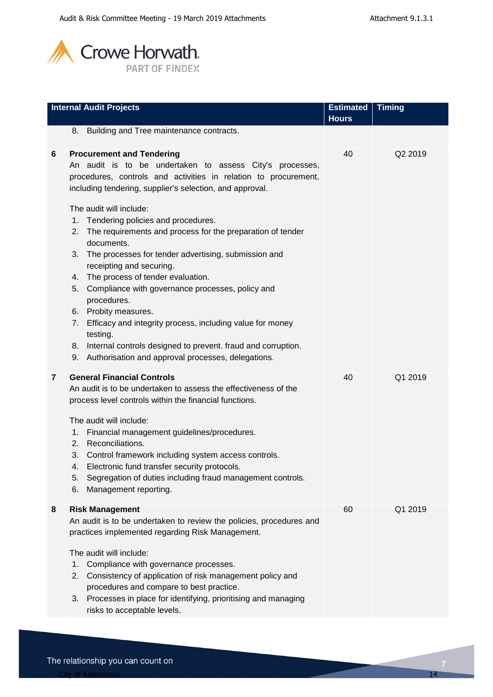

|   | <b>Internal Audit Projects</b>                                                                                                                                                                                                                                                                                                                                                                                                                                                                                                                                                                               | <b>Estimated</b> | <b>Timing</b> |
|---|--------------------------------------------------------------------------------------------------------------------------------------------------------------------------------------------------------------------------------------------------------------------------------------------------------------------------------------------------------------------------------------------------------------------------------------------------------------------------------------------------------------------------------------------------------------------------------------------------------------|------------------|---------------|
|   |                                                                                                                                                                                                                                                                                                                                                                                                                                                                                                                                                                                                              | <b>Hours</b>     |               |
|   | 8. Building and Tree maintenance contracts.                                                                                                                                                                                                                                                                                                                                                                                                                                                                                                                                                                  |                  |               |
| 6 | <b>Procurement and Tendering</b><br>An audit is to be undertaken to assess City's processes,<br>procedures, controls and activities in relation to procurement,<br>including tendering, supplier's selection, and approval.                                                                                                                                                                                                                                                                                                                                                                                  | 40               | Q2 2019       |
|   | The audit will include:<br>Tendering policies and procedures.<br>1.<br>2. The requirements and process for the preparation of tender<br>documents.<br>The processes for tender advertising, submission and<br>3.<br>receipting and securing.<br>The process of tender evaluation.<br>4.<br>Compliance with governance processes, policy and<br>5.<br>procedures.<br>Probity measures.<br>6.<br>Efficacy and integrity process, including value for money<br>7.<br>testing.<br>Internal controls designed to prevent. fraud and corruption.<br>8.<br>Authorisation and approval processes, delegations.<br>9. |                  |               |
| 7 | <b>General Financial Controls</b><br>An audit is to be undertaken to assess the effectiveness of the<br>process level controls within the financial functions.<br>The audit will include:<br>Financial management guidelines/procedures.<br>1.<br>Reconciliations.<br>2.<br>Control framework including system access controls.<br>3.<br>Electronic fund transfer security protocols.<br>4.<br>Segregation of duties including fraud management controls.<br>5.<br>Management reporting.<br>6.                                                                                                               | 40               | Q1 2019       |
| 8 | <b>Risk Management</b><br>An audit is to be undertaken to review the policies, procedures and<br>practices implemented regarding Risk Management.<br>The audit will include:<br>Compliance with governance processes.<br>1.<br>Consistency of application of risk management policy and<br>2.<br>procedures and compare to best practice.<br>Processes in place for identifying, prioritising and managing<br>3.<br>risks to acceptable levels.                                                                                                                                                              | 60               | Q1 2019       |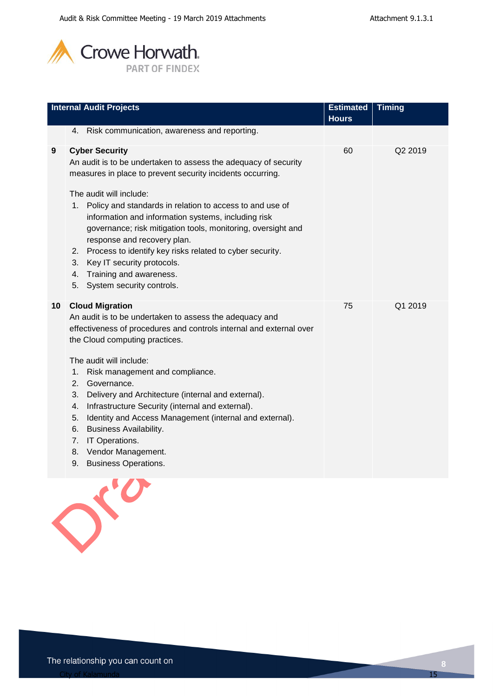

|                 | <b>Internal Audit Projects</b>                                                                                                                                                                                                                                                                                                                                                                                                                                                                                                                                                                             | <b>Estimated</b> | <b>Timing</b> |
|-----------------|------------------------------------------------------------------------------------------------------------------------------------------------------------------------------------------------------------------------------------------------------------------------------------------------------------------------------------------------------------------------------------------------------------------------------------------------------------------------------------------------------------------------------------------------------------------------------------------------------------|------------------|---------------|
|                 |                                                                                                                                                                                                                                                                                                                                                                                                                                                                                                                                                                                                            | <b>Hours</b>     |               |
|                 | 4. Risk communication, awareness and reporting.                                                                                                                                                                                                                                                                                                                                                                                                                                                                                                                                                            |                  |               |
| 9               | <b>Cyber Security</b><br>An audit is to be undertaken to assess the adequacy of security<br>measures in place to prevent security incidents occurring.<br>The audit will include:<br>1. Policy and standards in relation to access to and use of<br>information and information systems, including risk<br>governance; risk mitigation tools, monitoring, oversight and<br>response and recovery plan.<br>Process to identify key risks related to cyber security.<br>2.<br>Key IT security protocols.<br>3.<br>Training and awareness.<br>4.<br>5. System security controls.                              | 60               | Q2 2019       |
| 10 <sup>°</sup> | <b>Cloud Migration</b><br>An audit is to be undertaken to assess the adequacy and<br>effectiveness of procedures and controls internal and external over<br>the Cloud computing practices.<br>The audit will include:<br>1.<br>Risk management and compliance.<br>2.<br>Governance.<br>Delivery and Architecture (internal and external).<br>3.<br>Infrastructure Security (internal and external).<br>4.<br>Identity and Access Management (internal and external).<br>5.<br><b>Business Availability.</b><br>6.<br>IT Operations.<br>7.<br>Vendor Management.<br>8.<br><b>Business Operations.</b><br>9. | 75               | Q1 2019       |

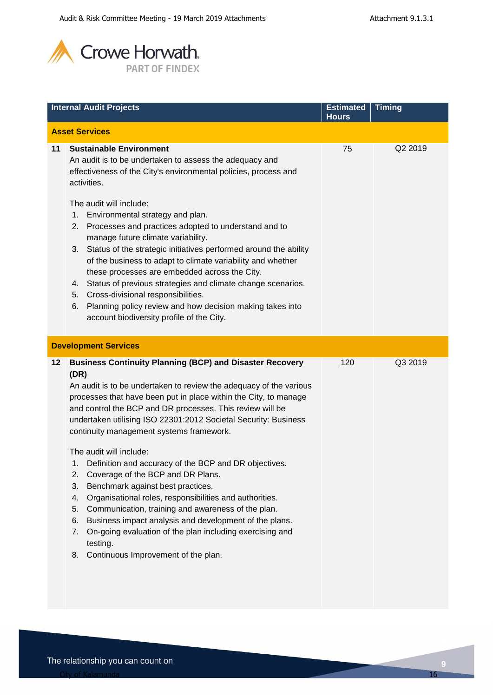

|    | <b>Internal Audit Projects</b>                                                                                                                                                                                                                                                                                                                                                                                                                                                                                                                                                                                                                                                                                                                                                                                                                                                                     | <b>Estimated</b><br><b>Hours</b> | <b>Timing</b> |
|----|----------------------------------------------------------------------------------------------------------------------------------------------------------------------------------------------------------------------------------------------------------------------------------------------------------------------------------------------------------------------------------------------------------------------------------------------------------------------------------------------------------------------------------------------------------------------------------------------------------------------------------------------------------------------------------------------------------------------------------------------------------------------------------------------------------------------------------------------------------------------------------------------------|----------------------------------|---------------|
|    | <b>Asset Services</b>                                                                                                                                                                                                                                                                                                                                                                                                                                                                                                                                                                                                                                                                                                                                                                                                                                                                              |                                  |               |
|    | <b>Sustainable Environment</b>                                                                                                                                                                                                                                                                                                                                                                                                                                                                                                                                                                                                                                                                                                                                                                                                                                                                     |                                  |               |
| 11 | An audit is to be undertaken to assess the adequacy and<br>effectiveness of the City's environmental policies, process and<br>activities.<br>The audit will include:<br>Environmental strategy and plan.<br>1.<br>Processes and practices adopted to understand and to<br>2.<br>manage future climate variability.<br>Status of the strategic initiatives performed around the ability<br>3.<br>of the business to adapt to climate variability and whether<br>these processes are embedded across the City.<br>Status of previous strategies and climate change scenarios.<br>4.<br>Cross-divisional responsibilities.<br>5.<br>Planning policy review and how decision making takes into<br>6.                                                                                                                                                                                                   | 75                               | Q2 2019       |
|    | account biodiversity profile of the City.                                                                                                                                                                                                                                                                                                                                                                                                                                                                                                                                                                                                                                                                                                                                                                                                                                                          |                                  |               |
|    | <b>Development Services</b>                                                                                                                                                                                                                                                                                                                                                                                                                                                                                                                                                                                                                                                                                                                                                                                                                                                                        |                                  |               |
| 12 | <b>Business Continuity Planning (BCP) and Disaster Recovery</b><br>(DR)<br>An audit is to be undertaken to review the adequacy of the various<br>processes that have been put in place within the City, to manage<br>and control the BCP and DR processes. This review will be<br>undertaken utilising ISO 22301:2012 Societal Security: Business<br>continuity management systems framework.<br>The audit will include:<br>1. Definition and accuracy of the BCP and DR objectives.<br>Coverage of the BCP and DR Plans.<br>2.<br>Benchmark against best practices.<br>3.<br>Organisational roles, responsibilities and authorities.<br>4.<br>Communication, training and awareness of the plan.<br>5.<br>Business impact analysis and development of the plans.<br>6.<br>On-going evaluation of the plan including exercising and<br>7.<br>testing.<br>Continuous Improvement of the plan.<br>8. | 120                              | Q3 2019       |
|    |                                                                                                                                                                                                                                                                                                                                                                                                                                                                                                                                                                                                                                                                                                                                                                                                                                                                                                    |                                  |               |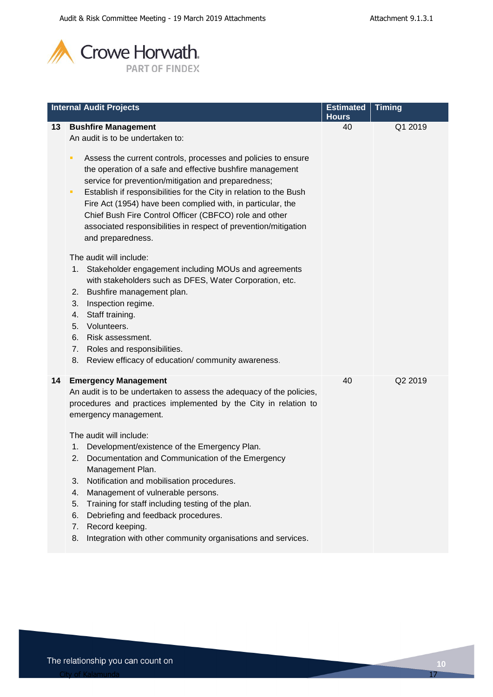

|    | <b>Internal Audit Projects</b>                                                                                                                                                                                                                                                                                                                                                                                                                                                                                                                                                                                                                                      | <b>Estimated</b>   | <b>Timing</b> |
|----|---------------------------------------------------------------------------------------------------------------------------------------------------------------------------------------------------------------------------------------------------------------------------------------------------------------------------------------------------------------------------------------------------------------------------------------------------------------------------------------------------------------------------------------------------------------------------------------------------------------------------------------------------------------------|--------------------|---------------|
| 13 | <b>Bushfire Management</b><br>An audit is to be undertaken to:<br>Assess the current controls, processes and policies to ensure<br>π<br>the operation of a safe and effective bushfire management<br>service for prevention/mitigation and preparedness;<br>Establish if responsibilities for the City in relation to the Bush<br>п<br>Fire Act (1954) have been complied with, in particular, the<br>Chief Bush Fire Control Officer (CBFCO) role and other<br>associated responsibilities in respect of prevention/mitigation<br>and preparedness.                                                                                                                | <b>Hours</b><br>40 | Q1 2019       |
|    | The audit will include:<br>1.<br>Stakeholder engagement including MOUs and agreements<br>with stakeholders such as DFES, Water Corporation, etc.<br>Bushfire management plan.<br>2.<br>Inspection regime.<br>3.<br>Staff training.<br>4.<br>Volunteers.<br>5.<br>Risk assessment.<br>6.<br>Roles and responsibilities.<br>7.<br>Review efficacy of education/community awareness.<br>8.                                                                                                                                                                                                                                                                             |                    |               |
| 14 | <b>Emergency Management</b><br>An audit is to be undertaken to assess the adequacy of the policies,<br>procedures and practices implemented by the City in relation to<br>emergency management.<br>The audit will include:<br>Development/existence of the Emergency Plan.<br>1.<br>Documentation and Communication of the Emergency<br>2.<br>Management Plan.<br>Notification and mobilisation procedures.<br>3.<br>Management of vulnerable persons.<br>4.<br>Training for staff including testing of the plan.<br>5.<br>Debriefing and feedback procedures.<br>6.<br>Record keeping.<br>7.<br>Integration with other community organisations and services.<br>8. | 40                 | Q2 2019       |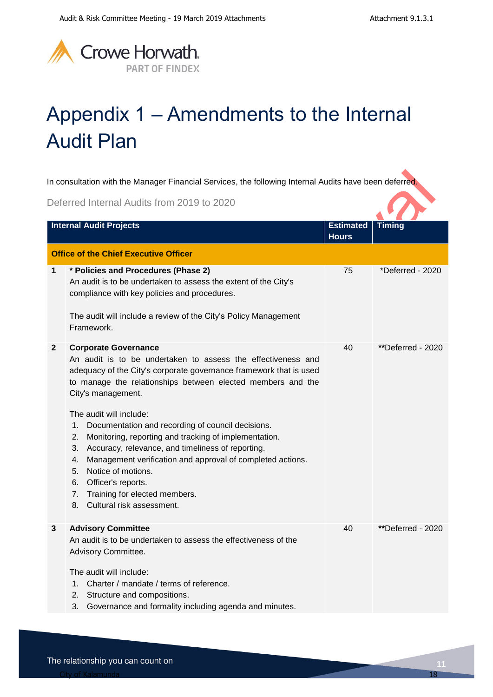

# <span id="page-10-0"></span>Appendix 1 – Amendments to the Internal Audit Plan

In consultation with the Manager Financial Services, the following Internal Audits have been deferred.

Deferred Internal Audits from 2019 to 2020

|              | <b>Internal Audit Projects</b>                                                                                                                                                                                                                                                                                                                                                                                                                                                                                                                                                                                                                                               | <b>Estimated</b><br><b>Hours</b> | <b>Timing</b>     |
|--------------|------------------------------------------------------------------------------------------------------------------------------------------------------------------------------------------------------------------------------------------------------------------------------------------------------------------------------------------------------------------------------------------------------------------------------------------------------------------------------------------------------------------------------------------------------------------------------------------------------------------------------------------------------------------------------|----------------------------------|-------------------|
|              | <b>Office of the Chief Executive Officer</b>                                                                                                                                                                                                                                                                                                                                                                                                                                                                                                                                                                                                                                 |                                  |                   |
| $\mathbf 1$  | * Policies and Procedures (Phase 2)<br>An audit is to be undertaken to assess the extent of the City's<br>compliance with key policies and procedures.<br>The audit will include a review of the City's Policy Management<br>Framework.                                                                                                                                                                                                                                                                                                                                                                                                                                      | 75                               | *Deferred - 2020  |
| $\mathbf{2}$ | <b>Corporate Governance</b><br>An audit is to be undertaken to assess the effectiveness and<br>adequacy of the City's corporate governance framework that is used<br>to manage the relationships between elected members and the<br>City's management.<br>The audit will include:<br>Documentation and recording of council decisions.<br>1.<br>Monitoring, reporting and tracking of implementation.<br>2.<br>Accuracy, relevance, and timeliness of reporting.<br>3.<br>Management verification and approval of completed actions.<br>4.<br>Notice of motions.<br>5.<br>Officer's reports.<br>6.<br>Training for elected members.<br>7.<br>Cultural risk assessment.<br>8. | 40                               | **Deferred - 2020 |
| 3            | <b>Advisory Committee</b><br>An audit is to be undertaken to assess the effectiveness of the<br>Advisory Committee.<br>The audit will include:<br>Charter / mandate / terms of reference.<br>$1_{-}$<br>2. Structure and compositions.<br>3.<br>Governance and formality including agenda and minutes.                                                                                                                                                                                                                                                                                                                                                                       | 40                               | **Deferred - 2020 |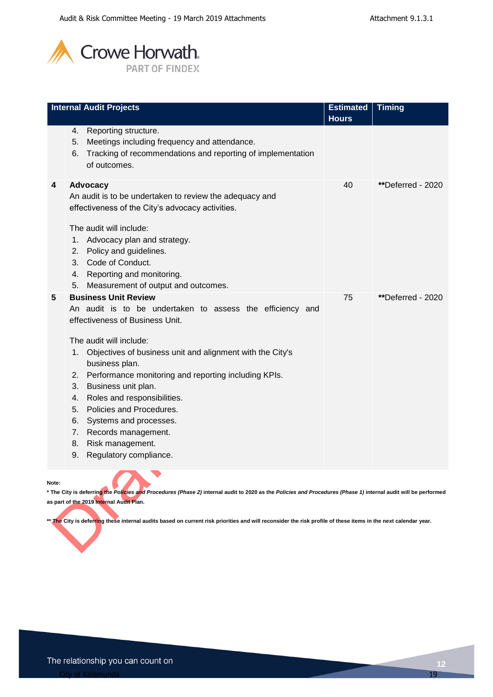

| <b>Internal Audit Projects</b>                                                                                                                                                                                                                                                                                                                                                                                                                                                                                                            | <b>Estimated</b> | <b>Timing</b>     |
|-------------------------------------------------------------------------------------------------------------------------------------------------------------------------------------------------------------------------------------------------------------------------------------------------------------------------------------------------------------------------------------------------------------------------------------------------------------------------------------------------------------------------------------------|------------------|-------------------|
|                                                                                                                                                                                                                                                                                                                                                                                                                                                                                                                                           | <b>Hours</b>     |                   |
| Reporting structure.<br>4.<br>Meetings including frequency and attendance.<br>5.<br>Tracking of recommendations and reporting of implementation<br>6.<br>of outcomes.                                                                                                                                                                                                                                                                                                                                                                     |                  |                   |
| 4<br>Advocacy<br>An audit is to be undertaken to review the adequacy and<br>effectiveness of the City's advocacy activities.<br>The audit will include:<br>Advocacy plan and strategy.<br>1.<br>Policy and guidelines.<br>2.<br>Code of Conduct.<br>3.<br>Reporting and monitoring.<br>4.<br>Measurement of output and outcomes.<br>5.                                                                                                                                                                                                    | 40               | **Deferred - 2020 |
| <b>Business Unit Review</b><br>5<br>An audit is to be undertaken to assess the efficiency and<br>effectiveness of Business Unit.<br>The audit will include:<br>Objectives of business unit and alignment with the City's<br>1.<br>business plan.<br>Performance monitoring and reporting including KPIs.<br>2.<br>Business unit plan.<br>3.<br>Roles and responsibilities.<br>4.<br>Policies and Procedures.<br>5.<br>6.<br>Systems and processes.<br>Records management.<br>7.<br>Risk management.<br>8.<br>Regulatory compliance.<br>9. | 75               | **Deferred - 2020 |

#### **Note:**

**\* The City is deferring the** *Policies and Procedures (Phase 2)* **internal audit to 2020 as the** *Policies and Procedures (Phase 1)* **internal audit will be performed as part of the 2019 Internal Audit Plan.** 

\*\* The City is deferring these internal audits based on current risk priorities and will reconsider the risk profile of these items in the next calendar year.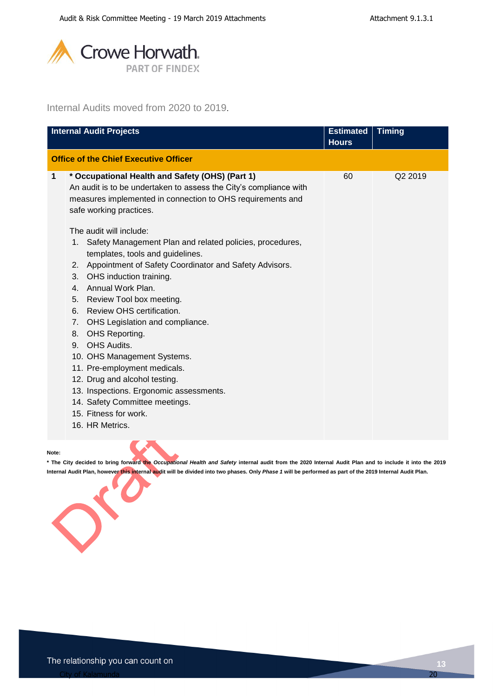

### Internal Audits moved from 2020 to 2019.

|             | <b>Internal Audit Projects</b>                                                                                                                                                                                                                                                                                                                                                                                                                                                                                                                                                                                                                                                                                                                                                                                                                                      | <b>Estimated</b><br><b>Hours</b> | <b>Timing</b> |
|-------------|---------------------------------------------------------------------------------------------------------------------------------------------------------------------------------------------------------------------------------------------------------------------------------------------------------------------------------------------------------------------------------------------------------------------------------------------------------------------------------------------------------------------------------------------------------------------------------------------------------------------------------------------------------------------------------------------------------------------------------------------------------------------------------------------------------------------------------------------------------------------|----------------------------------|---------------|
|             | <b>Office of the Chief Executive Officer</b>                                                                                                                                                                                                                                                                                                                                                                                                                                                                                                                                                                                                                                                                                                                                                                                                                        |                                  |               |
| $\mathbf 1$ | * Occupational Health and Safety (OHS) (Part 1)<br>An audit is to be undertaken to assess the City's compliance with<br>measures implemented in connection to OHS requirements and<br>safe working practices.<br>The audit will include:<br>Safety Management Plan and related policies, procedures,<br>1.<br>templates, tools and guidelines.<br>Appointment of Safety Coordinator and Safety Advisors.<br>2.<br>OHS induction training.<br>3.<br>Annual Work Plan.<br>$4_{-}$<br>Review Tool box meeting.<br>5.<br>Review OHS certification.<br>6.<br>OHS Legislation and compliance.<br>7.<br>OHS Reporting.<br>8.<br>OHS Audits.<br>9.<br>10. OHS Management Systems.<br>11. Pre-employment medicals.<br>12. Drug and alcohol testing.<br>13. Inspections. Ergonomic assessments.<br>14. Safety Committee meetings.<br>15. Fitness for work.<br>16. HR Metrics. | 60                               | Q2 2019       |
|             |                                                                                                                                                                                                                                                                                                                                                                                                                                                                                                                                                                                                                                                                                                                                                                                                                                                                     |                                  |               |

**Note:**

**\* The City decided to bring forward the** *Occupational Health and Safety* **internal audit from the 2020 Internal Audit Plan and to include it into the 2019 Internal Audit Plan, however this internal audit will be divided into two phases. Only** *Phase 1* **will be performed as part of the 2019 Internal Audit Plan.**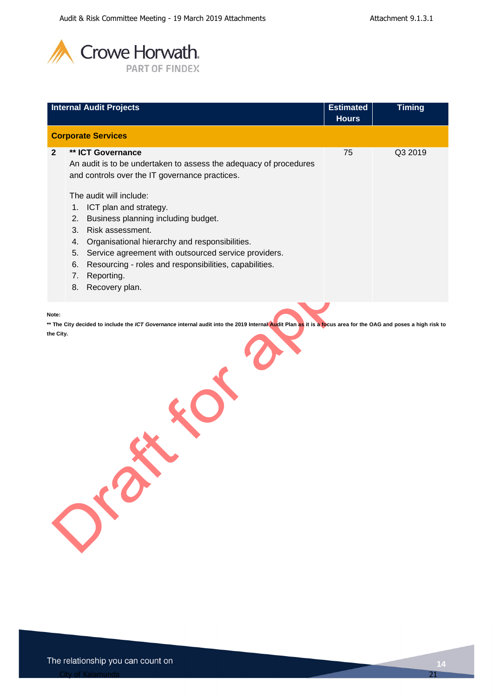

|                    | <b>Internal Audit Projects</b>                                                                                                                                                                                                                                                                                                                                                                                                                                                                            | <b>Estimated</b><br><b>Hours</b> | <b>Timing</b> |
|--------------------|-----------------------------------------------------------------------------------------------------------------------------------------------------------------------------------------------------------------------------------------------------------------------------------------------------------------------------------------------------------------------------------------------------------------------------------------------------------------------------------------------------------|----------------------------------|---------------|
|                    | <b>Corporate Services</b>                                                                                                                                                                                                                                                                                                                                                                                                                                                                                 |                                  |               |
| $\overline{2}$     | ** ICT Governance<br>An audit is to be undertaken to assess the adequacy of procedures<br>and controls over the IT governance practices.<br>The audit will include:<br>ICT plan and strategy.<br>1.<br>Business planning including budget.<br>2.<br>Risk assessment.<br>3.<br>Organisational hierarchy and responsibilities.<br>4.<br>Service agreement with outsourced service providers.<br>5.<br>Resourcing - roles and responsibilities, capabilities.<br>6.<br>Reporting.<br>7.<br>8. Recovery plan. | 75                               | Q3 2019       |
| Note:<br>the City. | ** The City decided to include the ICT Governance internal audit into the 2019 Internal Audit Plan as it is a focus area for the OAG and poses a high risk to<br>$\sigma^{(0)}$                                                                                                                                                                                                                                                                                                                           |                                  |               |